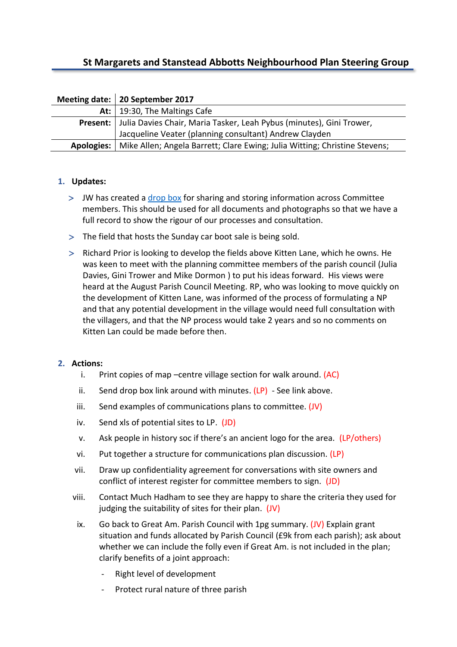# **St Margarets and Stanstead Abbotts Neighbourhood Plan Steering Group**

| Meeting date:   20 September 2017                                                       |
|-----------------------------------------------------------------------------------------|
| At:   19:30, The Maltings Cafe                                                          |
| Present:   Julia Davies Chair, Maria Tasker, Leah Pybus (minutes), Gini Trower,         |
| Jacqueline Veater (planning consultant) Andrew Clayden                                  |
| Apologies:   Mike Allen; Angela Barrett; Clare Ewing; Julia Witting; Christine Stevens; |

# **1. Updates:**

- > JW has created a [drop box]((https:/www.dropbox.com/scl/fo/iadala4ri821k0qbz4nu8/AAAxamcF4ZnD7etc2UNl1gSMa?dl=0&oref=e&r=AAcOpaA9F8SP7JYbTqbwgpbbIYVFoozWLFbktuyDYcV0Il-RUCZVLRLT5De8mUPEciSYY1bl1ZynWPuW4eS3ORVk4zxwcYnQodTggo68VvKsjeIQCuMLg0DZnkneSHAepycz7DustwpO2o5uUcSOvGrHt) for sharing and storing information across Committee members. This should be used for all documents and photographs so that we have a full record to show the rigour of our processes and consultation.
- The field that hosts the Sunday car boot sale is being sold.
- Richard Prior is looking to develop the fields above Kitten Lane, which he owns. He was keen to meet with the planning committee members of the parish council (Julia Davies, Gini Trower and Mike Dormon ) to put his ideas forward. His views were heard at the August Parish Council Meeting. RP, who was looking to move quickly on the development of Kitten Lane, was informed of the process of formulating a NP and that any potential development in the village would need full consultation with the villagers, and that the NP process would take 2 years and so no comments on Kitten Lan could be made before then.

#### **2. Actions:**

- i. Print copies of map –centre village section for walk around. (AC)
- ii. Send drop box link around with minutes.  $(LP)$  See link above.
- iii. Send examples of communications plans to committee. (JV)
- iv. Send xls of potential sites to LP. (JD)
- v. Ask people in history soc if there's an ancient logo for the area. (LP/others)
- vi. Put together a structure for communications plan discussion. (LP)
- vii. Draw up confidentiality agreement for conversations with site owners and conflict of interest register for committee members to sign. (JD)
- viii. Contact Much Hadham to see they are happy to share the criteria they used for judging the suitability of sites for their plan. (JV)
- ix. Go back to Great Am. Parish Council with 1pg summary. (JV) Explain grant situation and funds allocated by Parish Council (£9k from each parish); ask about whether we can include the folly even if Great Am. is not included in the plan; clarify benefits of a joint approach:
	- Right level of development
	- Protect rural nature of three parish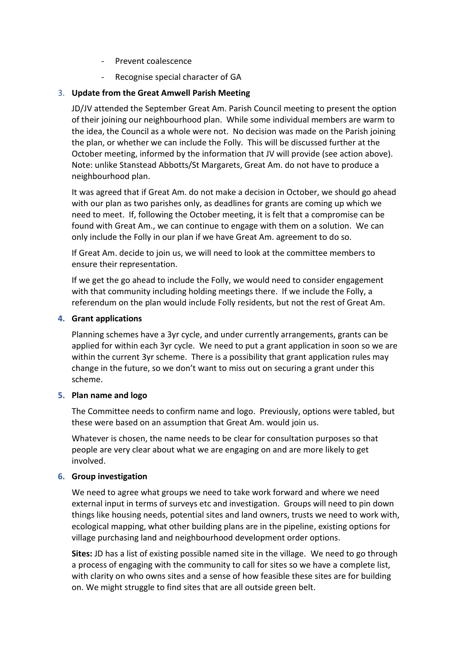- Prevent coalescence
- Recognise special character of GA

# 3. **Update from the Great Amwell Parish Meeting**

JD/JV attended the September Great Am. Parish Council meeting to present the option of their joining our neighbourhood plan. While some individual members are warm to the idea, the Council as a whole were not. No decision was made on the Parish joining the plan, or whether we can include the Folly. This will be discussed further at the October meeting, informed by the information that JV will provide (see action above). Note: unlike Stanstead Abbotts/St Margarets, Great Am. do not have to produce a neighbourhood plan.

It was agreed that if Great Am. do not make a decision in October, we should go ahead with our plan as two parishes only, as deadlines for grants are coming up which we need to meet. If, following the October meeting, it is felt that a compromise can be found with Great Am., we can continue to engage with them on a solution. We can only include the Folly in our plan if we have Great Am. agreement to do so.

If Great Am. decide to join us, we will need to look at the committee members to ensure their representation.

If we get the go ahead to include the Folly, we would need to consider engagement with that community including holding meetings there. If we include the Folly, a referendum on the plan would include Folly residents, but not the rest of Great Am.

#### **4. Grant applications**

Planning schemes have a 3yr cycle, and under currently arrangements, grants can be applied for within each 3yr cycle. We need to put a grant application in soon so we are within the current 3yr scheme. There is a possibility that grant application rules may change in the future, so we don't want to miss out on securing a grant under this scheme.

#### **5. Plan name and logo**

The Committee needs to confirm name and logo. Previously, options were tabled, but these were based on an assumption that Great Am. would join us.

Whatever is chosen, the name needs to be clear for consultation purposes so that people are very clear about what we are engaging on and are more likely to get involved.

# **6. Group investigation**

We need to agree what groups we need to take work forward and where we need external input in terms of surveys etc and investigation. Groups will need to pin down things like housing needs, potential sites and land owners, trusts we need to work with, ecological mapping, what other building plans are in the pipeline, existing options for village purchasing land and neighbourhood development order options.

**Sites:** JD has a list of existing possible named site in the village. We need to go through a process of engaging with the community to call for sites so we have a complete list, with clarity on who owns sites and a sense of how feasible these sites are for building on. We might struggle to find sites that are all outside green belt.